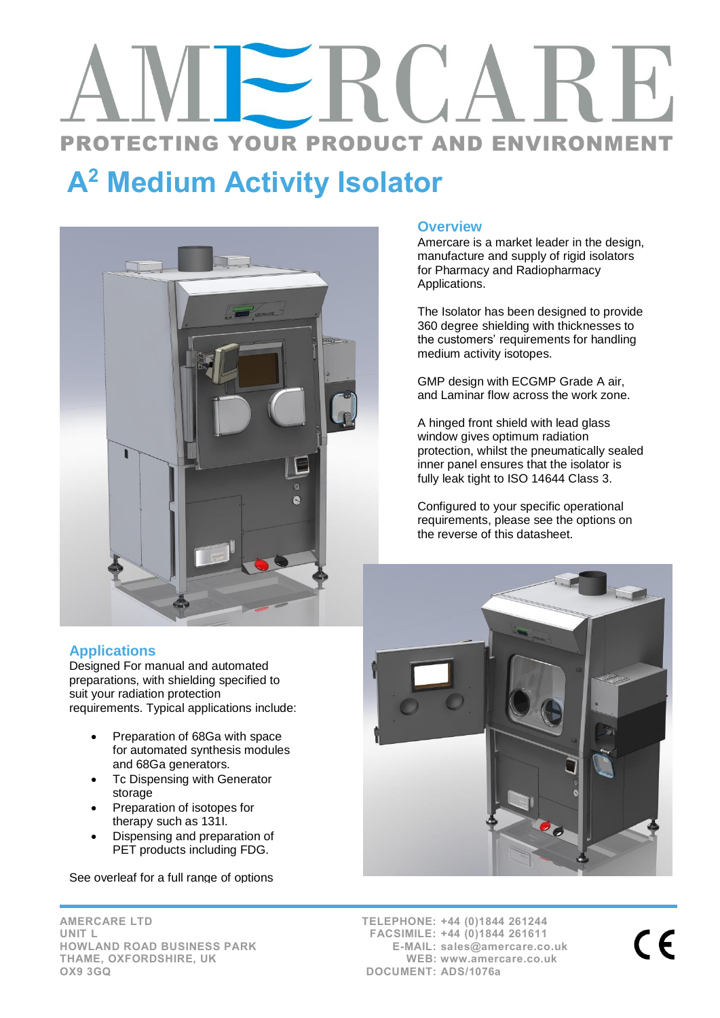# PROTECTING YOUR PRODUCT AND ENVIRONMENT

# A<sup>2</sup> Medium Activity Isolator



# **Applications**

Designed For manual and automated preparations, with shielding specified to suit your radiation protection requirements. Typical applications include:

- Preparation of 68Ga with space for automated synthesis modules and 68Ga generators.
- Tc Dispensing with Generator storage
- Preparation of isotopes for therapy such as 131I.
- Dispensing and preparation of PET products including FDG.

See overleaf for a full range of options

## **Overview**

Amercare is a market leader in the design, manufacture and supply of rigid isolators for Pharmacy and Radiopharmacy Applications.

The Isolator has been designed to provide 360 degree shielding with thicknesses to the customers' requirements for handling medium activity isotopes.

GMP design with ECGMP Grade A air, and Laminar flow across the work zone.

A hinged front shield with lead glass window gives optimum radiation protection, whilst the pneumatically sealed inner panel ensures that the isolator is fully leak tight to ISO 14644 Class 3.

Configured to your specific operational requirements, please see the options on the reverse of this datasheet.



AMERCARE LTD UNIT L HOWLAND ROAD BUSINESS PARK THAME, OXFORDSHIRE, UK OX9 3GQ